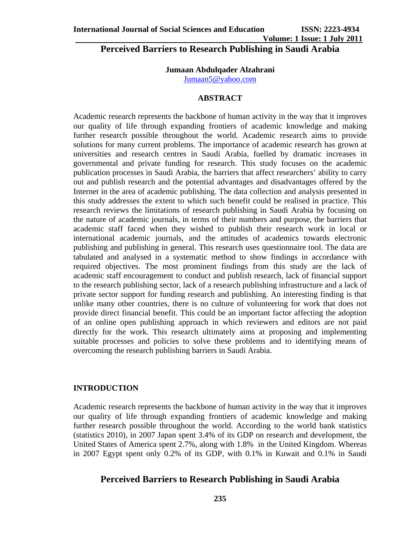**Volume: 1 Issue: 1 July 2011**

**Perceived Barriers to Research Publishing in Saudi Arabia** 

#### **Jumaan Abdulqader Alzahrani**

Jumaan5@yahoo.com

#### **ABSTRACT**

Academic research represents the backbone of human activity in the way that it improves our quality of life through expanding frontiers of academic knowledge and making further research possible throughout the world. Academic research aims to provide solutions for many current problems. The importance of academic research has grown at universities and research centres in Saudi Arabia, fuelled by dramatic increases in governmental and private funding for research. This study focuses on the academic publication processes in Saudi Arabia, the barriers that affect researchers' ability to carry out and publish research and the potential advantages and disadvantages offered by the Internet in the area of academic publishing. The data collection and analysis presented in this study addresses the extent to which such benefit could be realised in practice. This research reviews the limitations of research publishing in Saudi Arabia by focusing on the nature of academic journals, in terms of their numbers and purpose, the barriers that academic staff faced when they wished to publish their research work in local or international academic journals, and the attitudes of academics towards electronic publishing and publishing in general. This research uses questionnaire tool. The data are tabulated and analysed in a systematic method to show findings in accordance with required objectives. The most prominent findings from this study are the lack of academic staff encouragement to conduct and publish research, lack of financial support to the research publishing sector, lack of a research publishing infrastructure and a lack of private sector support for funding research and publishing. An interesting finding is that unlike many other countries, there is no culture of volunteering for work that does not provide direct financial benefit. This could be an important factor affecting the adoption of an online open publishing approach in which reviewers and editors are not paid directly for the work. This research ultimately aims at proposing and implementing suitable processes and policies to solve these problems and to identifying means of overcoming the research publishing barriers in Saudi Arabia.

#### **INTRODUCTION**

Academic research represents the backbone of human activity in the way that it improves our quality of life through expanding frontiers of academic knowledge and making further research possible throughout the world. According to the world bank statistics (statistics 2010), in 2007 Japan spent 3.4% of its GDP on research and development, the United States of America spent 2.7%, along with 1.8% in the United Kingdom. Whereas in 2007 Egypt spent only 0.2% of its GDP, with 0.1% in Kuwait and 0.1% in Saudi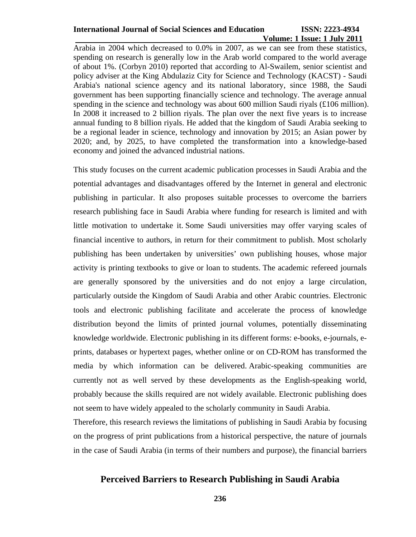# **Volume: 1 Issue: 1 July 2011**

Arabia in 2004 which decreased to 0.0% in 2007, as we can see from these statistics, spending on research is generally low in the Arab world compared to the world average of about 1%. (Corbyn 2010) reported that according to Al-Swailem, senior scientist and policy adviser at the King Abdulaziz City for Science and Technology (KACST) - Saudi Arabia's national science agency and its national laboratory, since 1988, the Saudi government has been supporting financially science and technology. The average annual spending in the science and technology was about 600 million Saudi riyals (£106 million). In 2008 it increased to 2 billion riyals. The plan over the next five years is to increase annual funding to 8 billion riyals. He added that the kingdom of Saudi Arabia seeking to be a regional leader in science, technology and innovation by 2015; an Asian power by 2020; and, by 2025, to have completed the transformation into a knowledge-based economy and joined the advanced industrial nations.

This study focuses on the current academic publication processes in Saudi Arabia and the potential advantages and disadvantages offered by the Internet in general and electronic publishing in particular. It also proposes suitable processes to overcome the barriers research publishing face in Saudi Arabia where funding for research is limited and with little motivation to undertake it. Some Saudi universities may offer varying scales of financial incentive to authors, in return for their commitment to publish. Most scholarly publishing has been undertaken by universities' own publishing houses, whose major activity is printing textbooks to give or loan to students. The academic refereed journals are generally sponsored by the universities and do not enjoy a large circulation, particularly outside the Kingdom of Saudi Arabia and other Arabic countries. Electronic tools and electronic publishing facilitate and accelerate the process of knowledge distribution beyond the limits of printed journal volumes, potentially disseminating knowledge worldwide. Electronic publishing in its different forms: e-books, e-journals, eprints, databases or hypertext pages, whether online or on CD-ROM has transformed the media by which information can be delivered. Arabic-speaking communities are currently not as well served by these developments as the English-speaking world, probably because the skills required are not widely available. Electronic publishing does not seem to have widely appealed to the scholarly community in Saudi Arabia.

Therefore, this research reviews the limitations of publishing in Saudi Arabia by focusing on the progress of print publications from a historical perspective, the nature of journals in the case of Saudi Arabia (in terms of their numbers and purpose), the financial barriers

## **Perceived Barriers to Research Publishing in Saudi Arabia**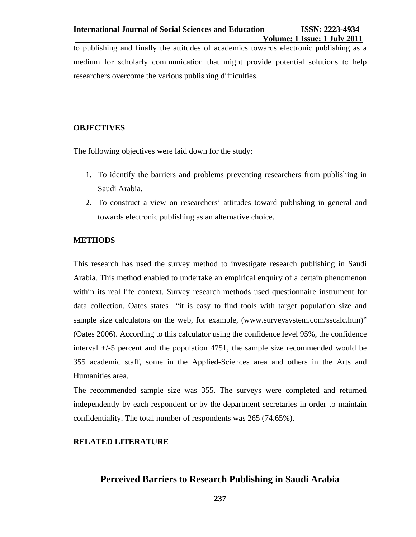to publishing and finally the attitudes of academics towards electronic publishing as a medium for scholarly communication that might provide potential solutions to help researchers overcome the various publishing difficulties.

#### **OBJECTIVES**

The following objectives were laid down for the study:

- 1. To identify the barriers and problems preventing researchers from publishing in Saudi Arabia.
- 2. To construct a view on researchers' attitudes toward publishing in general and towards electronic publishing as an alternative choice.

#### **METHODS**

This research has used the survey method to investigate research publishing in Saudi Arabia. This method enabled to undertake an empirical enquiry of a certain phenomenon within its real life context. Survey research methods used questionnaire instrument for data collection. Oates states "it is easy to find tools with target population size and sample size calculators on the web, for example, (www.surveysystem.com/sscalc.htm)" (Oates 2006). According to this calculator using the confidence level 95%, the confidence interval +/-5 percent and the population 4751, the sample size recommended would be 355 academic staff, some in the Applied-Sciences area and others in the Arts and Humanities area.

The recommended sample size was 355. The surveys were completed and returned independently by each respondent or by the department secretaries in order to maintain confidentiality. The total number of respondents was 265 (74.65%).

#### **RELATED LITERATURE**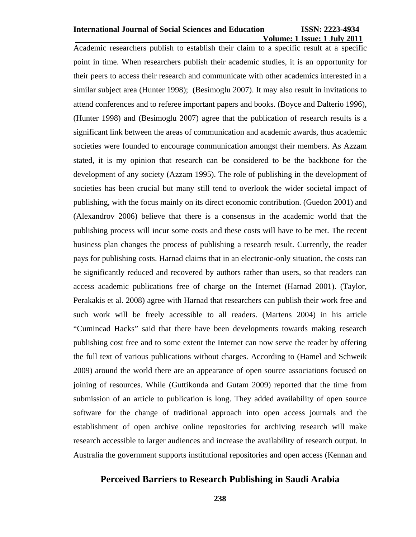## **Volume: 1 Issue: 1 July 2011**

Academic researchers publish to establish their claim to a specific result at a specific point in time. When researchers publish their academic studies, it is an opportunity for their peers to access their research and communicate with other academics interested in a similar subject area (Hunter 1998); (Besimoglu 2007). It may also result in invitations to attend conferences and to referee important papers and books. (Boyce and Dalterio 1996), (Hunter 1998) and (Besimoglu 2007) agree that the publication of research results is a significant link between the areas of communication and academic awards, thus academic societies were founded to encourage communication amongst their members. As Azzam stated, it is my opinion that research can be considered to be the backbone for the development of any society (Azzam 1995). The role of publishing in the development of societies has been crucial but many still tend to overlook the wider societal impact of publishing, with the focus mainly on its direct economic contribution. (Guedon 2001) and (Alexandrov 2006) believe that there is a consensus in the academic world that the publishing process will incur some costs and these costs will have to be met. The recent business plan changes the process of publishing a research result. Currently, the reader pays for publishing costs. Harnad claims that in an electronic-only situation, the costs can be significantly reduced and recovered by authors rather than users, so that readers can access academic publications free of charge on the Internet (Harnad 2001). (Taylor, Perakakis et al. 2008) agree with Harnad that researchers can publish their work free and such work will be freely accessible to all readers. (Martens 2004) in his article "Cumincad Hacks" said that there have been developments towards making research publishing cost free and to some extent the Internet can now serve the reader by offering the full text of various publications without charges. According to (Hamel and Schweik 2009) around the world there are an appearance of open source associations focused on joining of resources. While (Guttikonda and Gutam 2009) reported that the time from submission of an article to publication is long. They added availability of open source software for the change of traditional approach into open access journals and the establishment of open archive online repositories for archiving research will make research accessible to larger audiences and increase the availability of research output. In Australia the government supports institutional repositories and open access (Kennan and

## **Perceived Barriers to Research Publishing in Saudi Arabia**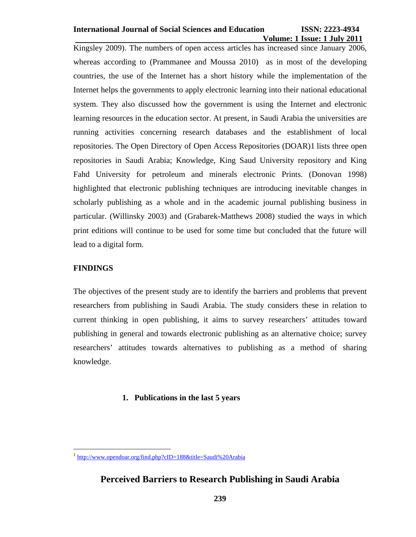## **Volume: 1 Issue: 1 July 2011**

Kingsley 2009). The numbers of open access articles has increased since January 2006, whereas according to (Prammanee and Moussa 2010) as in most of the developing countries, the use of the Internet has a short history while the implementation of the Internet helps the governments to apply electronic learning into their national educational system. They also discussed how the government is using the Internet and electronic learning resources in the education sector. At present, in Saudi Arabia the universities are running activities concerning research databases and the establishment of local repositories. The Open Directory of Open Access Repositories (DOAR)1 lists three open repositories in Saudi Arabia; Knowledge, King Saud University repository and King Fahd University for petroleum and minerals electronic Prints. (Donovan 1998) highlighted that electronic publishing techniques are introducing inevitable changes in scholarly publishing as a whole and in the academic journal publishing business in particular. (Willinsky 2003) and (Grabarek-Matthews 2008) studied the ways in which print editions will continue to be used for some time but concluded that the future will lead to a digital form.

#### **FINDINGS**

 $\overline{a}$ 

The objectives of the present study are to identify the barriers and problems that prevent researchers from publishing in Saudi Arabia. The study considers these in relation to current thinking in open publishing, it aims to survey researchers' attitudes toward publishing in general and towards electronic publishing as an alternative choice; survey researchers' attitudes towards alternatives to publishing as a method of sharing knowledge.

#### **1. Publications in the last 5 years**

<sup>&</sup>lt;sup>1</sup> http://www.opendoar.org/find.php?cID=188&title=Saudi%20Arabia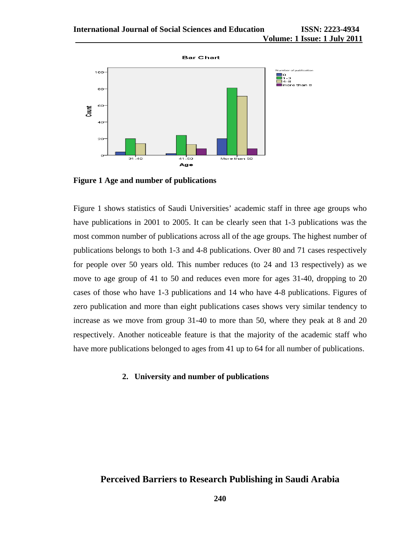

**Figure 1 Age and number of publications** 

Figure 1 shows statistics of Saudi Universities' academic staff in three age groups who have publications in 2001 to 2005. It can be clearly seen that 1-3 publications was the most common number of publications across all of the age groups. The highest number of publications belongs to both 1-3 and 4-8 publications. Over 80 and 71 cases respectively for people over 50 years old. This number reduces (to 24 and 13 respectively) as we move to age group of 41 to 50 and reduces even more for ages 31-40, dropping to 20 cases of those who have 1-3 publications and 14 who have 4-8 publications. Figures of zero publication and more than eight publications cases shows very similar tendency to increase as we move from group 31-40 to more than 50, where they peak at 8 and 20 respectively. Another noticeable feature is that the majority of the academic staff who have more publications belonged to ages from 41 up to 64 for all number of publications.

#### **2. University and number of publications**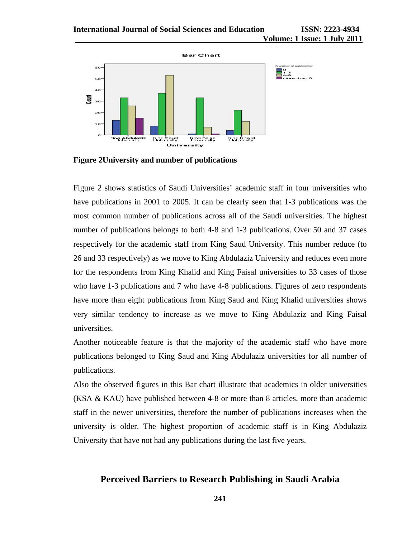

**Figure 2University and number of publications** 

Figure 2 shows statistics of Saudi Universities' academic staff in four universities who have publications in 2001 to 2005. It can be clearly seen that 1-3 publications was the most common number of publications across all of the Saudi universities. The highest number of publications belongs to both 4-8 and 1-3 publications. Over 50 and 37 cases respectively for the academic staff from King Saud University. This number reduce (to 26 and 33 respectively) as we move to King Abdulaziz University and reduces even more for the respondents from King Khalid and King Faisal universities to 33 cases of those who have 1-3 publications and 7 who have 4-8 publications. Figures of zero respondents have more than eight publications from King Saud and King Khalid universities shows very similar tendency to increase as we move to King Abdulaziz and King Faisal universities.

Another noticeable feature is that the majority of the academic staff who have more publications belonged to King Saud and King Abdulaziz universities for all number of publications.

Also the observed figures in this Bar chart illustrate that academics in older universities (KSA & KAU) have published between 4-8 or more than 8 articles, more than academic staff in the newer universities, therefore the number of publications increases when the university is older. The highest proportion of academic staff is in King Abdulaziz University that have not had any publications during the last five years.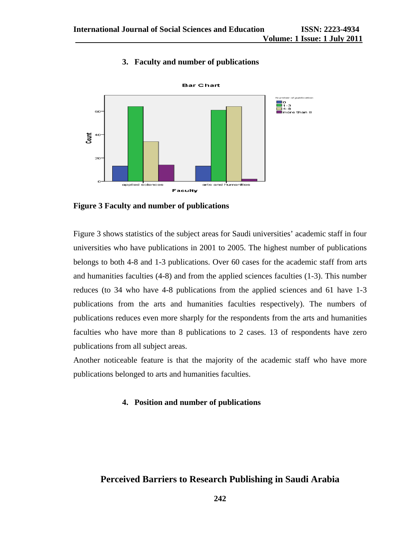#### **3. Faculty and number of publications**



**Figure 3 Faculty and number of publications** 

Figure 3 shows statistics of the subject areas for Saudi universities' academic staff in four universities who have publications in 2001 to 2005. The highest number of publications belongs to both 4-8 and 1-3 publications. Over 60 cases for the academic staff from arts and humanities faculties (4-8) and from the applied sciences faculties (1-3). This number reduces (to 34 who have 4-8 publications from the applied sciences and 61 have 1-3 publications from the arts and humanities faculties respectively). The numbers of publications reduces even more sharply for the respondents from the arts and humanities faculties who have more than 8 publications to 2 cases. 13 of respondents have zero publications from all subject areas.

Another noticeable feature is that the majority of the academic staff who have more publications belonged to arts and humanities faculties.

#### **4. Position and number of publications**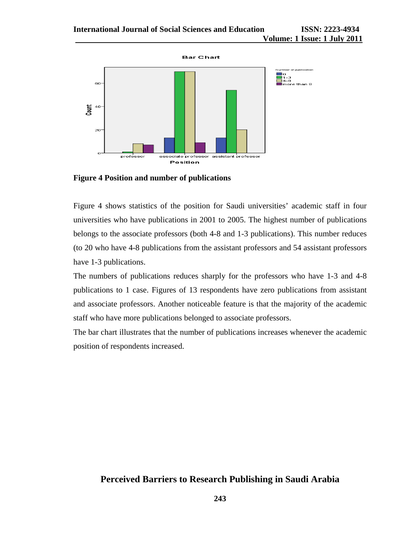

**Figure 4 Position and number of publications** 

Figure 4 shows statistics of the position for Saudi universities' academic staff in four universities who have publications in 2001 to 2005. The highest number of publications belongs to the associate professors (both 4-8 and 1-3 publications). This number reduces (to 20 who have 4-8 publications from the assistant professors and 54 assistant professors have 1-3 publications.

The numbers of publications reduces sharply for the professors who have 1-3 and 4-8 publications to 1 case. Figures of 13 respondents have zero publications from assistant and associate professors. Another noticeable feature is that the majority of the academic staff who have more publications belonged to associate professors.

The bar chart illustrates that the number of publications increases whenever the academic position of respondents increased.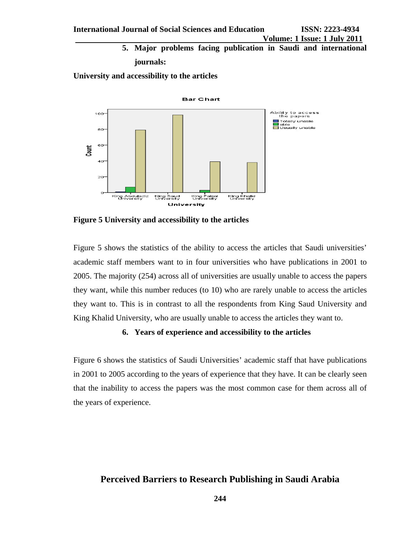**5. Major problems facing publication in Saudi and international journals:** 

**University and accessibility to the articles** 



**Figure 5 University and accessibility to the articles** 

Figure 5 shows the statistics of the ability to access the articles that Saudi universities' academic staff members want to in four universities who have publications in 2001 to 2005. The majority (254) across all of universities are usually unable to access the papers they want, while this number reduces (to 10) who are rarely unable to access the articles they want to. This is in contrast to all the respondents from King Saud University and King Khalid University, who are usually unable to access the articles they want to.

#### **6. Years of experience and accessibility to the articles**

Figure 6 shows the statistics of Saudi Universities' academic staff that have publications in 2001 to 2005 according to the years of experience that they have. It can be clearly seen that the inability to access the papers was the most common case for them across all of the years of experience.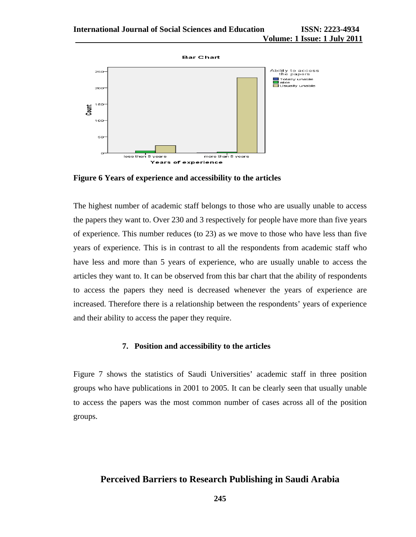

**Figure 6 Years of experience and accessibility to the articles** 

The highest number of academic staff belongs to those who are usually unable to access the papers they want to. Over 230 and 3 respectively for people have more than five years of experience. This number reduces (to 23) as we move to those who have less than five years of experience. This is in contrast to all the respondents from academic staff who have less and more than 5 years of experience, who are usually unable to access the articles they want to. It can be observed from this bar chart that the ability of respondents to access the papers they need is decreased whenever the years of experience are increased. Therefore there is a relationship between the respondents' years of experience and their ability to access the paper they require.

#### **7. Position and accessibility to the articles**

Figure 7 shows the statistics of Saudi Universities' academic staff in three position groups who have publications in 2001 to 2005. It can be clearly seen that usually unable to access the papers was the most common number of cases across all of the position groups.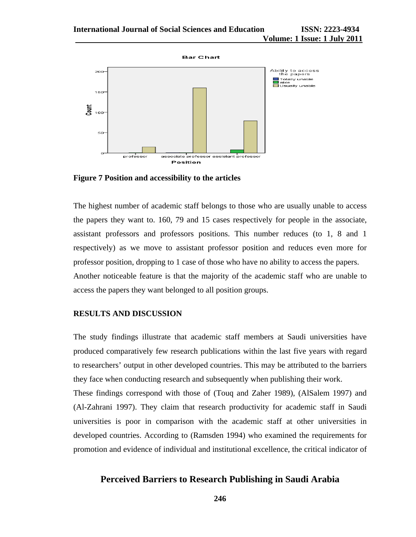

**Figure 7 Position and accessibility to the articles** 

The highest number of academic staff belongs to those who are usually unable to access the papers they want to. 160, 79 and 15 cases respectively for people in the associate, assistant professors and professors positions. This number reduces (to 1, 8 and 1 respectively) as we move to assistant professor position and reduces even more for professor position, dropping to 1 case of those who have no ability to access the papers. Another noticeable feature is that the majority of the academic staff who are unable to access the papers they want belonged to all position groups.

#### **RESULTS AND DISCUSSION**

The study findings illustrate that academic staff members at Saudi universities have produced comparatively few research publications within the last five years with regard to researchers' output in other developed countries. This may be attributed to the barriers they face when conducting research and subsequently when publishing their work.

These findings correspond with those of (Touq and Zaher 1989), (AlSalem 1997) and (Al-Zahrani 1997). They claim that research productivity for academic staff in Saudi universities is poor in comparison with the academic staff at other universities in developed countries. According to (Ramsden 1994) who examined the requirements for promotion and evidence of individual and institutional excellence, the critical indicator of

#### **Perceived Barriers to Research Publishing in Saudi Arabia**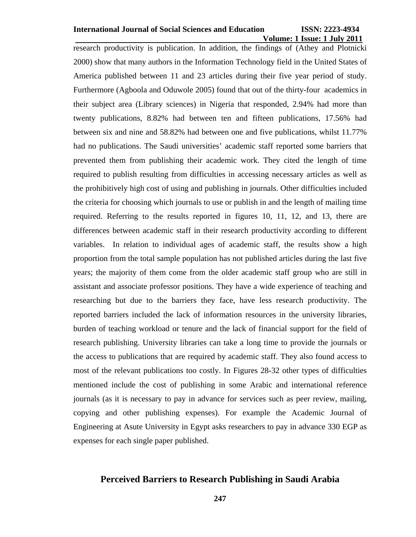## **Volume: 1 Issue: 1 July 2011**

research productivity is publication. In addition, the findings of (Athey and Plotnicki 2000) show that many authors in the Information Technology field in the United States of America published between 11 and 23 articles during their five year period of study. Furthermore (Agboola and Oduwole 2005) found that out of the thirty-four academics in their subject area (Library sciences) in Nigeria that responded, 2.94% had more than twenty publications, 8.82% had between ten and fifteen publications, 17.56% had between six and nine and 58.82% had between one and five publications, whilst 11.77% had no publications. The Saudi universities' academic staff reported some barriers that prevented them from publishing their academic work. They cited the length of time required to publish resulting from difficulties in accessing necessary articles as well as the prohibitively high cost of using and publishing in journals. Other difficulties included the criteria for choosing which journals to use or publish in and the length of mailing time required. Referring to the results reported in figures 10, 11, 12, and 13, there are differences between academic staff in their research productivity according to different variables. In relation to individual ages of academic staff, the results show a high proportion from the total sample population has not published articles during the last five years; the majority of them come from the older academic staff group who are still in assistant and associate professor positions. They have a wide experience of teaching and researching but due to the barriers they face, have less research productivity. The reported barriers included the lack of information resources in the university libraries, burden of teaching workload or tenure and the lack of financial support for the field of research publishing. University libraries can take a long time to provide the journals or the access to publications that are required by academic staff. They also found access to most of the relevant publications too costly. In Figures 28-32 other types of difficulties mentioned include the cost of publishing in some Arabic and international reference journals (as it is necessary to pay in advance for services such as peer review, mailing, copying and other publishing expenses). For example the Academic Journal of Engineering at Asute University in Egypt asks researchers to pay in advance 330 EGP as expenses for each single paper published.

#### **Perceived Barriers to Research Publishing in Saudi Arabia**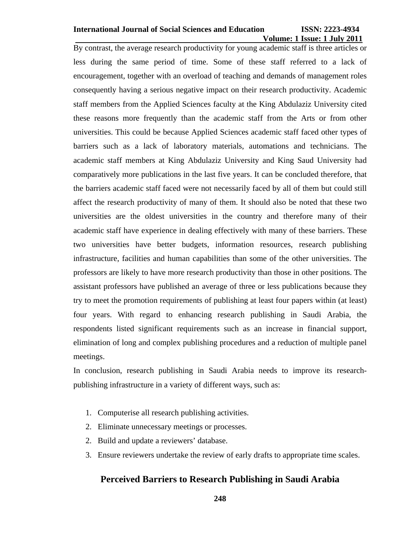## **Volume: 1 Issue: 1 July 2011**

By contrast, the average research productivity for young academic staff is three articles or less during the same period of time. Some of these staff referred to a lack of encouragement, together with an overload of teaching and demands of management roles consequently having a serious negative impact on their research productivity. Academic staff members from the Applied Sciences faculty at the King Abdulaziz University cited these reasons more frequently than the academic staff from the Arts or from other universities. This could be because Applied Sciences academic staff faced other types of barriers such as a lack of laboratory materials, automations and technicians. The academic staff members at King Abdulaziz University and King Saud University had comparatively more publications in the last five years. It can be concluded therefore, that the barriers academic staff faced were not necessarily faced by all of them but could still affect the research productivity of many of them. It should also be noted that these two universities are the oldest universities in the country and therefore many of their academic staff have experience in dealing effectively with many of these barriers. These two universities have better budgets, information resources, research publishing infrastructure, facilities and human capabilities than some of the other universities. The professors are likely to have more research productivity than those in other positions. The assistant professors have published an average of three or less publications because they try to meet the promotion requirements of publishing at least four papers within (at least) four years. With regard to enhancing research publishing in Saudi Arabia, the respondents listed significant requirements such as an increase in financial support, elimination of long and complex publishing procedures and a reduction of multiple panel meetings.

In conclusion, research publishing in Saudi Arabia needs to improve its researchpublishing infrastructure in a variety of different ways, such as:

- 1. Computerise all research publishing activities.
- 2. Eliminate unnecessary meetings or processes.
- 2. Build and update a reviewers' database.
- 3. Ensure reviewers undertake the review of early drafts to appropriate time scales.

## **Perceived Barriers to Research Publishing in Saudi Arabia**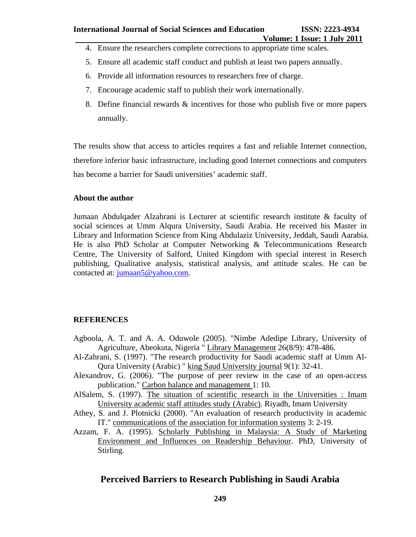- 4. Ensure the researchers complete corrections to appropriate time scales.
- 5. Ensure all academic staff conduct and publish at least two papers annually.
- 6. Provide all information resources to researchers free of charge.
- 7. Encourage academic staff to publish their work internationally.
- 8. Define financial rewards & incentives for those who publish five or more papers annually.

The results show that access to articles requires a fast and reliable Internet connection, therefore inferior basic infrastructure, including good Internet connections and computers has become a barrier for Saudi universities' academic staff.

#### **About the author**

Jumaan Abdulqader Alzahrani is Lecturer at scientific research institute & faculty of social sciences at Umm Alqura University, Saudi Arabia. He received his Master in Library and Information Science from King Abdulaziz University, Jeddah, Saudi Aarabia. He is also PhD Scholar at Computer Networking & Telecommunications Research Centre, The University of Salford, United Kingdom with special interest in Reserch publishing, Qualitative analysis, statistical analysis, and attitude scales. He can be contacted at: jumaan5@yahoo.com.

#### **REFERENCES**

- Agboola, A. T. and A. A. Oduwole (2005). "Nimbe Adedipe Library, University of Agriculture, Abeokuta, Nigeria " Library Management 26(8/9): 478-486.
- Al-Zahrani, S. (1997). "The research productivity for Saudi academic staff at Umm Al-Qura University (Arabic) " king Saud University journal 9(1): 32-41.
- Alexandrov, G. (2006). "The purpose of peer review in the case of an open-access publication." Carbon balance and management 1: 10.
- AlSalem, S. (1997). The situation of scientific research in the Universities : Imam University academic staff attitudes study (Arabic). Riyadh, Imam University
- Athey, S. and J. Plotnicki (2000). "An evaluation of research productivity in academic IT." communications of the association for information systems 3: 2-19.
- Azzam, F. A. (1995). Scholarly Publishing in Malaysia: A Study of Marketing Environment and Influences on Readership Behaviour. PhD, University of Stirling.